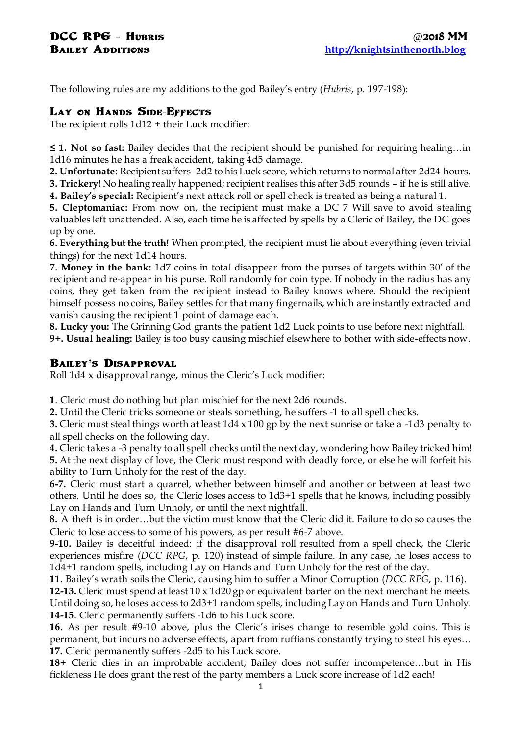The following rules are my additions to the god Bailey's entry (*Hubris*, p. 197-198):

## **Lay on Hands Side-Effects**

The recipient rolls 1d12 + their Luck modifier:

**≤ 1. Not so fast:** Bailey decides that the recipient should be punished for requiring healing…in 1d16 minutes he has a freak accident, taking 4d5 damage.

**2. Unfortunate**: Recipient suffers -2d2 to his Luck score, which returns to normal after 2d24 hours.

**3. Trickery!** No healing really happened; recipient realises this after 3d5 rounds – if he is still alive.

**4. Bailey's special:** Recipient's next attack roll or spell check is treated as being a natural 1.

**5. Cleptomaniac:** From now on, the recipient must make a DC 7 Will save to avoid stealing valuables left unattended. Also, each time he is affected by spells by a Cleric of Bailey, the DC goes up by one.

**6. Everything but the truth!** When prompted, the recipient must lie about everything (even trivial things) for the next 1d14 hours.

**7. Money in the bank:** 1d7 coins in total disappear from the purses of targets within 30' of the recipient and re-appear in his purse. Roll randomly for coin type. If nobody in the radius has any coins, they get taken from the recipient instead to Bailey knows where. Should the recipient himself possess no coins, Bailey settles for that many fingernails, which are instantly extracted and vanish causing the recipient 1 point of damage each.

**8. Lucky you:** The Grinning God grants the patient 1d2 Luck points to use before next nightfall. **9+. Usual healing:** Bailey is too busy causing mischief elsewhere to bother with side-effects now.

## **Bailey's Disapproval**

Roll 1d4 x disapproval range, minus the Cleric's Luck modifier:

**1**. Cleric must do nothing but plan mischief for the next 2d6 rounds.

**2.** Until the Cleric tricks someone or steals something, he suffers -1 to all spell checks.

**3.** Cleric must steal things worth at least 1d4 x 100 gp by the next sunrise or take a -1d3 penalty to all spell checks on the following day.

**4.** Cleric takes a -3 penalty to all spell checks until the next day, wondering how Bailey tricked him! **5.** At the next display of love, the Cleric must respond with deadly force, or else he will forfeit his ability to Turn Unholy for the rest of the day.

**6-7.** Cleric must start a quarrel, whether between himself and another or between at least two others. Until he does so, the Cleric loses access to 1d3+1 spells that he knows, including possibly Lay on Hands and Turn Unholy, or until the next nightfall.

**8.** A theft is in order…but the victim must know that the Cleric did it. Failure to do so causes the Cleric to lose access to some of his powers, as per result #6-7 above.

**9-10.** Bailey is deceitful indeed: if the disapproval roll resulted from a spell check, the Cleric experiences misfire (*DCC RPG*, p. 120) instead of simple failure. In any case, he loses access to 1d4+1 random spells, including Lay on Hands and Turn Unholy for the rest of the day.

**11.** Bailey's wrath soils the Cleric, causing him to suffer a Minor Corruption (*DCC RPG*, p. 116).

**12-13.** Cleric must spend at least 10 x 1d20 gp or equivalent barter on the next merchant he meets. Until doing so, he loses access to 2d3+1 random spells, including Lay on Hands and Turn Unholy. **14-15**. Cleric permanently suffers -1d6 to his Luck score.

**16.** As per result #9-10 above, plus the Cleric's irises change to resemble gold coins. This is permanent, but incurs no adverse effects, apart from ruffians constantly trying to steal his eyes… **17.** Cleric permanently suffers -2d5 to his Luck score.

**18+** Cleric dies in an improbable accident; Bailey does not suffer incompetence…but in His fickleness He does grant the rest of the party members a Luck score increase of 1d2 each!